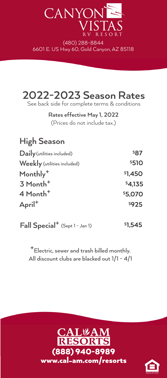

(480) 288-8844 6601 E. US Hwy 60, Gold Canyon, AZ 85118



**Rates effective May 1, 2022**

(Prices do not include tax.)

**High Season Daily**  (utilities included) **Weekly** (utilities included) **4 Month+ April+ \$5,070 3 Month+ Monthly+ \$4,135 \$1,450**

**Fall Special<sup>+</sup>** (Sept 1 - Jan 1) **1,545** 

**+**Electric, sewer and trash billed monthly. All discount clubs are blacked out 1/1 - 4/1





**\$87 \$510**

**\$925**